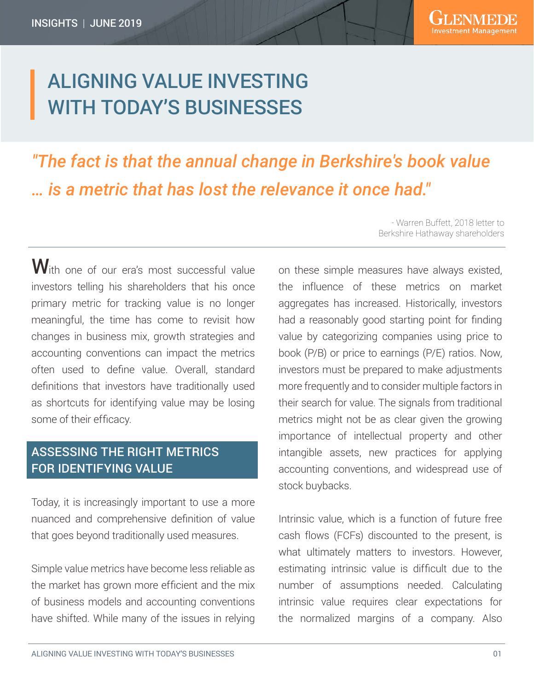# ALIGNING VALUE INVESTING WITH TODAY'S BUSINESSES

*"The fact is that the annual change in Berkshire's book value … is a metric that has lost the relevance it once had."* 

With one of our era's most successful value investors telling his shareholders that his once primary metric for tracking value is no longer meaningful, the time has come to revisit how changes in business mix, growth strategies and accounting conventions can impact the metrics often used to define value. Overall, standard definitions that investors have traditionally used as shortcuts for identifying value may be losing some of their efficacy.

### ASSESSING THE RIGHT METRICS FOR IDENTIFYING VALUE

Today, it is increasingly important to use a more nuanced and comprehensive definition of value that goes beyond traditionally used measures.

Simple value metrics have become less reliable as the market has grown more efficient and the mix of business models and accounting conventions have shifted. While many of the issues in relying

- Warren Buffett, 2018 letter to Berkshire Hathaway shareholders

on these simple measures have always existed, the influence of these metrics on market aggregates has increased. Historically, investors had a reasonably good starting point for finding value by categorizing companies using price to book (P/B) or price to earnings (P/E) ratios. Now, investors must be prepared to make adjustments more frequently and to consider multiple factors in their search for value. The signals from traditional metrics might not be as clear given the growing importance of intellectual property and other intangible assets, new practices for applying accounting conventions, and widespread use of stock buybacks.

Intrinsic value, which is a function of future free cash flows (FCFs) discounted to the present, is what ultimately matters to investors. However, estimating intrinsic value is difficult due to the number of assumptions needed. Calculating intrinsic value requires clear expectations for the normalized margins of a company. Also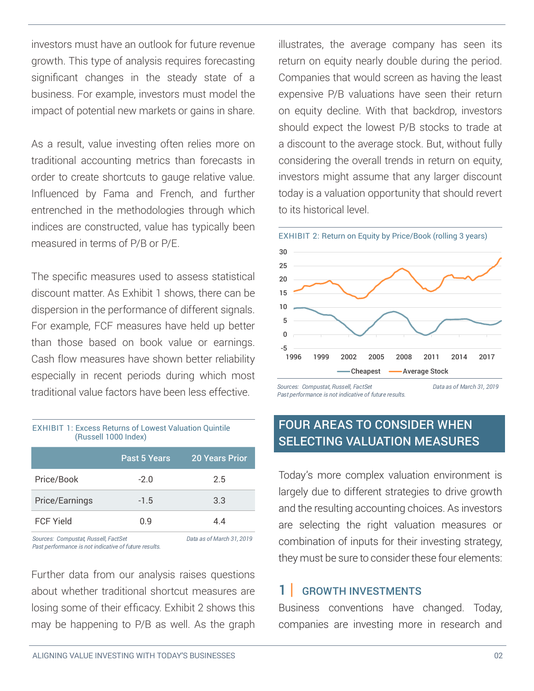investors must have an outlook for future revenue growth. This type of analysis requires forecasting significant changes in the steady state of a business. For example, investors must model the impact of potential new markets or gains in share.

As a result, value investing often relies more on traditional accounting metrics than forecasts in order to create shortcuts to gauge relative value. Influenced by Fama and French, and further entrenched in the methodologies through which indices are constructed, value has typically been measured in terms of P/B or P/E.

The specific measures used to assess statistical discount matter. As Exhibit 1 shows, there can be dispersion in the performance of different signals. For example, FCF measures have held up better than those based on book value or earnings. Cash flow measures have shown better reliability especially in recent periods during which most traditional value factors have been less effective.

### EXHIBIT 1: Excess Returns of Lowest Valuation Quintile (Russell 1000 Index)

|                                                  | Past 5 Years | <b>20 Years Prior</b>         |
|--------------------------------------------------|--------------|-------------------------------|
| Price/Book                                       | $-2.0$       | 2.5                           |
| Price/Earnings                                   | $-1.5$       | 3.3                           |
| <b>FCF Yield</b>                                 | 0.9          | 4.4                           |
| $\cdots$ $\cdots$<br>$\sim$ $\sim$ $\sim$ $\sim$ |              | $\mathbf{r}$<br>$\sim$ $\sim$ |

Sources: Compustat, Russell, FactSet **Data as of March 31, 2019**<br>Past performance is not indicative of future results. *Past performance is not indicative of future results.*

Further data from our analysis raises questions about whether traditional shortcut measures are losing some of their efficacy. Exhibit 2 shows this may be happening to P/B as well. As the graph illustrates, the average company has seen its return on equity nearly double during the period. Companies that would screen as having the least expensive P/B valuations have seen their return on equity decline. With that backdrop, investors should expect the lowest P/B stocks to trade at a discount to the average stock. But, without fully considering the overall trends in return on equity, investors might assume that any larger discount today is a valuation opportunity that should revert to its historical level.



### FOUR AREAS TO CONSIDER WHEN SELECTING VALUATION MEASURES

Today's more complex valuation environment is largely due to different strategies to drive growth and the resulting accounting choices. As investors are selecting the right valuation measures or combination of inputs for their investing strategy, they must be sure to consider these four elements:

#### GROWTH INVESTMENTS 1 |

Business conventions have changed. Today, companies are investing more in research and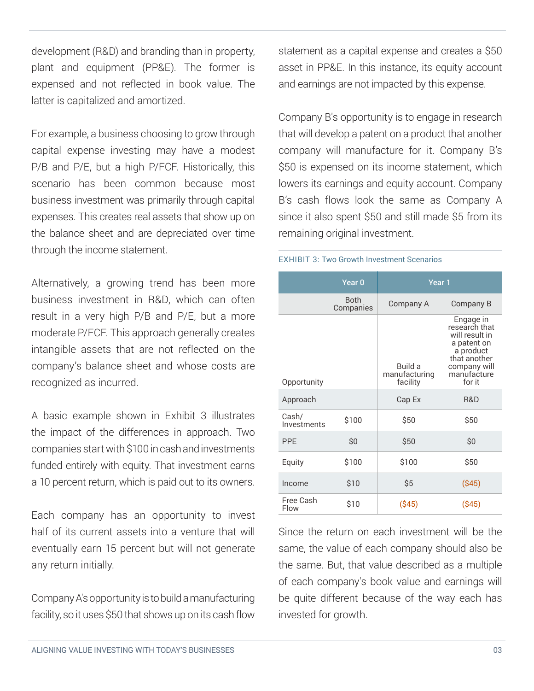development (R&D) and branding than in property, plant and equipment (PP&E). The former is expensed and not reflected in book value. The latter is capitalized and amortized.

For example, a business choosing to grow through capital expense investing may have a modest P/B and P/E, but a high P/FCF. Historically, this scenario has been common because most business investment was primarily through capital expenses. This creates real assets that show up on the balance sheet and are depreciated over time through the income statement.

Alternatively, a growing trend has been more business investment in R&D, which can often result in a very high P/B and P/E, but a more moderate P/FCF. This approach generally creates intangible assets that are not reflected on the company's balance sheet and whose costs are recognized as incurred.

A basic example shown in Exhibit 3 illustrates the impact of the differences in approach. Two companies start with \$100 in cash and investments funded entirely with equity. That investment earns a 10 percent return, which is paid out to its owners.

Each company has an opportunity to invest half of its current assets into a venture that will eventually earn 15 percent but will not generate any return initially.

Company A's opportunity is to build a manufacturing facility, so it uses \$50 that shows up on its cash flow statement as a capital expense and creates a \$50 asset in PP&E. In this instance, its equity account and earnings are not impacted by this expense.

Company B's opportunity is to engage in research that will develop a patent on a product that another company will manufacture for it. Company B's \$50 is expensed on its income statement, which lowers its earnings and equity account. Company B's cash flows look the same as Company A since it also spent \$50 and still made \$5 from its remaining original investment.

### EXHIBIT 3: Two Growth Investment Scenarios

|                      | Year <sub>0</sub>        | Year 1                               |                                                                                                                                   |
|----------------------|--------------------------|--------------------------------------|-----------------------------------------------------------------------------------------------------------------------------------|
|                      | <b>Both</b><br>Companies | Company A                            | Company B                                                                                                                         |
| Opportunity          |                          | Build a<br>manufacturing<br>facility | Engage in<br>research that<br>will result in<br>a patent on<br>a product<br>that another<br>company will<br>manufacture<br>for it |
| Approach             |                          | Cap Ex                               | R&D                                                                                                                               |
| Cash/<br>Investments | \$100                    | \$50                                 | \$50                                                                                                                              |
| <b>PPF</b>           | \$0                      | \$50                                 | \$0                                                                                                                               |
| Equity               | \$100                    | \$100                                | \$50                                                                                                                              |
| Income               | \$10                     | \$5                                  | ( \$45)                                                                                                                           |
| Free Cash<br>Flow    | \$10                     | (S45)                                | (\$45)                                                                                                                            |

Since the return on each investment will be the same, the value of each company should also be the same. But, that value described as a multiple of each company's book value and earnings will be quite different because of the way each has invested for growth.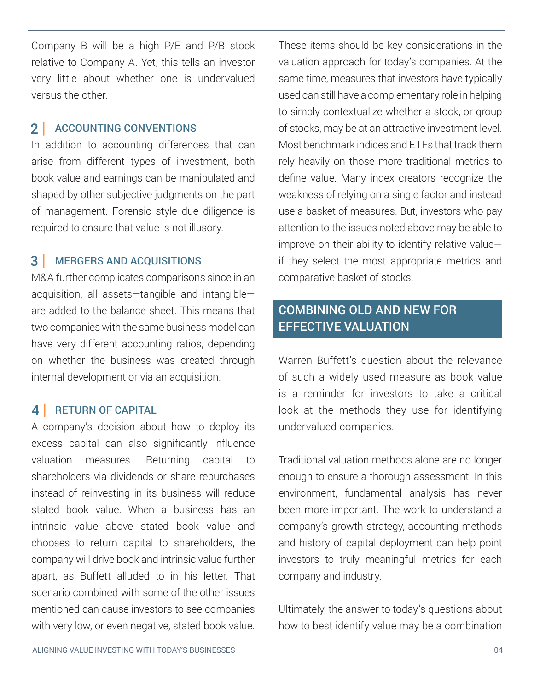Company B will be a high P/E and P/B stock relative to Company A. Yet, this tells an investor very little about whether one is undervalued versus the other.

# 2 | ACCOUNTING CONVENTIONS

In addition to accounting differences that can arise from different types of investment, both book value and earnings can be manipulated and shaped by other subjective judgments on the part of management. Forensic style due diligence is required to ensure that value is not illusory.

#### MERGERS AND ACQUISITIONS 3 |

M&A further complicates comparisons since in an acquisition, all assets—tangible and intangible are added to the balance sheet. This means that two companies with the same business model can have very different accounting ratios, depending on whether the business was created through internal development or via an acquisition.

# 4 | RETURN OF CAPITAL

A company's decision about how to deploy its excess capital can also significantly influence valuation measures. Returning capital to shareholders via dividends or share repurchases instead of reinvesting in its business will reduce stated book value. When a business has an intrinsic value above stated book value and chooses to return capital to shareholders, the company will drive book and intrinsic value further apart, as Buffett alluded to in his letter. That scenario combined with some of the other issues mentioned can cause investors to see companies with very low, or even negative, stated book value.

These items should be key considerations in the valuation approach for today's companies. At the same time, measures that investors have typically used can still have a complementary role in helping to simply contextualize whether a stock, or group of stocks, may be at an attractive investment level. Most benchmark indices and ETFs that track them rely heavily on those more traditional metrics to define value. Many index creators recognize the weakness of relying on a single factor and instead use a basket of measures. But, investors who pay attention to the issues noted above may be able to improve on their ability to identify relative value if they select the most appropriate metrics and comparative basket of stocks.

# COMBINING OLD AND NEW FOR EFFECTIVE VALUATION

Warren Buffett's question about the relevance of such a widely used measure as book value is a reminder for investors to take a critical look at the methods they use for identifying undervalued companies.

Traditional valuation methods alone are no longer enough to ensure a thorough assessment. In this environment, fundamental analysis has never been more important. The work to understand a company's growth strategy, accounting methods and history of capital deployment can help point investors to truly meaningful metrics for each company and industry.

Ultimately, the answer to today's questions about how to best identify value may be a combination